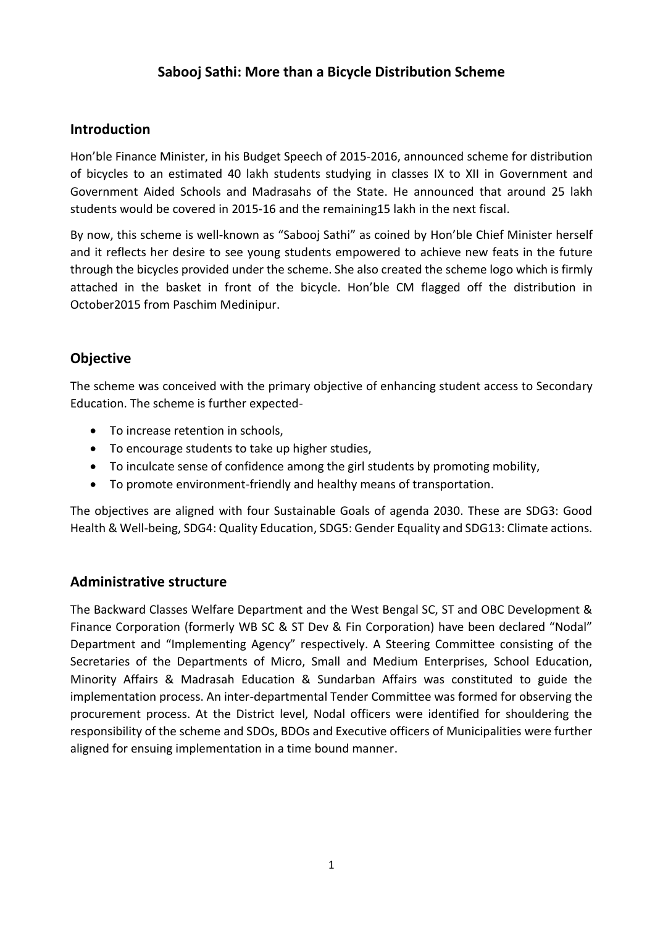# **Sabooj Sathi: More than a Bicycle Distribution Scheme**

## **Introduction**

Hon'ble Finance Minister, in his Budget Speech of 2015-2016, announced scheme for distribution of bicycles to an estimated 40 lakh students studying in classes IX to XII in Government and Government Aided Schools and Madrasahs of the State. He announced that around 25 lakh students would be covered in 2015-16 and the remaining15 lakh in the next fiscal.

By now, this scheme is well-known as "Sabooj Sathi" as coined by Hon'ble Chief Minister herself and it reflects her desire to see young students empowered to achieve new feats in the future through the bicycles provided under the scheme. She also created the scheme logo which is firmly attached in the basket in front of the bicycle. Hon'ble CM flagged off the distribution in October2015 from Paschim Medinipur.

# **Objective**

The scheme was conceived with the primary objective of enhancing student access to Secondary Education. The scheme is further expected-

- To increase retention in schools,
- To encourage students to take up higher studies,
- To inculcate sense of confidence among the girl students by promoting mobility,
- To promote environment-friendly and healthy means of transportation.

The objectives are aligned with four Sustainable Goals of agenda 2030. These are SDG3: Good Health & Well-being, SDG4: Quality Education, SDG5: Gender Equality and SDG13: Climate actions.

#### **Administrative structure**

The Backward Classes Welfare Department and the West Bengal SC, ST and OBC Development & Finance Corporation (formerly WB SC & ST Dev & Fin Corporation) have been declared "Nodal" Department and "Implementing Agency" respectively. A Steering Committee consisting of the Secretaries of the Departments of Micro, Small and Medium Enterprises, School Education, Minority Affairs & Madrasah Education & Sundarban Affairs was constituted to guide the implementation process. An inter-departmental Tender Committee was formed for observing the procurement process. At the District level, Nodal officers were identified for shouldering the responsibility of the scheme and SDOs, BDOs and Executive officers of Municipalities were further aligned for ensuing implementation in a time bound manner.